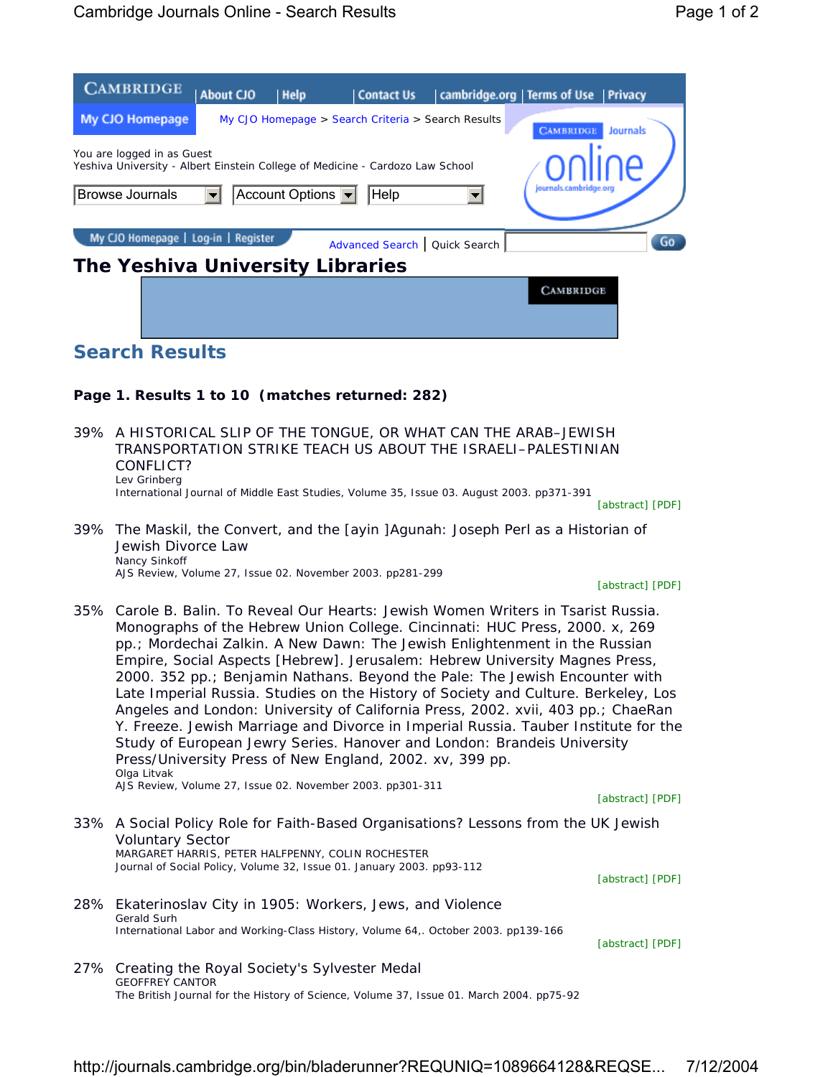| <b>CAMBRIDGE</b>                                                                                                                                                               | <b>About CJO</b> | <b>Help</b> | <b>Contact Us</b>                                  |  | cambridge.org   Terms of Use | <b>Privacy</b>  |  |  |
|--------------------------------------------------------------------------------------------------------------------------------------------------------------------------------|------------------|-------------|----------------------------------------------------|--|------------------------------|-----------------|--|--|
| My CJO Homepage                                                                                                                                                                |                  |             | My CJO Homepage > Search Criteria > Search Results |  | <b>CAMBRIDGE</b>             | <b>Journals</b> |  |  |
| You are logged in as Guest<br>Yeshiva University - Albert Einstein College of Medicine - Cardozo Law School<br>journals.cambridge.org<br>Account Options $\blacktriangleright$ |                  |             |                                                    |  |                              |                 |  |  |
| <b>Browse Journals</b>                                                                                                                                                         |                  |             | Help                                               |  |                              |                 |  |  |
| My CJO Homepage   Log-in   Register                                                                                                                                            |                  |             | Advanced Search   Quick Search                     |  |                              | Go              |  |  |
| The Yeshiva University Libraries                                                                                                                                               |                  |             |                                                    |  |                              |                 |  |  |
|                                                                                                                                                                                |                  |             |                                                    |  | <b>CAMBRIDGE</b>             |                 |  |  |

## **Search Results**

## **Page 1. Results 1 to 10 (matches returned: 282)**

| 39% A HISTORICAL SLIP OF THE TONGUE. OR WHAT CAN THE ARAB–JEWISH                          |
|-------------------------------------------------------------------------------------------|
| TRANSPORTATION STRIKE TEACH US ABOUT THE ISRAELI–PALESTINIAN                              |
| CONFLICT?                                                                                 |
| Lev Grinberg                                                                              |
| International Journal of Middle East Studies, Volume 35, Issue 03. August 2003. pp371-391 |

[abstract] [PDF]

39% The *Maskil*, the Convert, and the *[ayin ]Agunah*: Joseph Perl as a Historian of Jewish Divorce Law Nancy Sinkoff AJS Review, Volume 27, Issue 02. November 2003. pp281-299

[abstract] [PDF]

35% Carole B. Balin. *To Reveal Our Hearts: Jewish Women Writers in Tsarist Russia.* Monographs of the Hebrew Union College. Cincinnati: HUC Press, 2000. x, 269 pp.; Mordechai Zalkin. *A New Dawn: The Jewish Enlightenment in the Russian Empire, Social Aspects* [Hebrew]. Jerusalem: Hebrew University Magnes Press, 2000. 352 pp.; Benjamin Nathans. *Beyond the Pale: The Jewish Encounter with Late Imperial Russia*. Studies on the History of Society and Culture. Berkeley, Los Angeles and London: University of California Press, 2002. xvii, 403 pp.; ChaeRan Y. Freeze. *Jewish Marriage and Divorce in Imperial Russia.* Tauber Institute for the Study of European Jewry Series. Hanover and London: Brandeis University Press/University Press of New England, 2002. xv, 399 pp. Olga Litvak AJS Review, Volume 27, Issue 02. November 2003. pp301-311

[abstract] [PDF]

33% A Social Policy Role for Faith-Based Organisations? Lessons from the UK Jewish Voluntary Sector MARGARET HARRIS, PETER HALFPENNY, COLIN ROCHESTER Journal of Social Policy, Volume 32, Issue 01. January 2003. pp93-112

[abstract] [PDF]

28% Ekaterinoslav City in 1905: Workers, Jews, and Violence Gerald Surh International Labor and Working-Class History, Volume 64,. October 2003. pp139-166

[abstract] [PDF]

27% Creating the Royal Society's Sylvester Medal GEOFFREY CANTOR The British Journal for the History of Science, Volume 37, Issue 01. March 2004. pp75-92